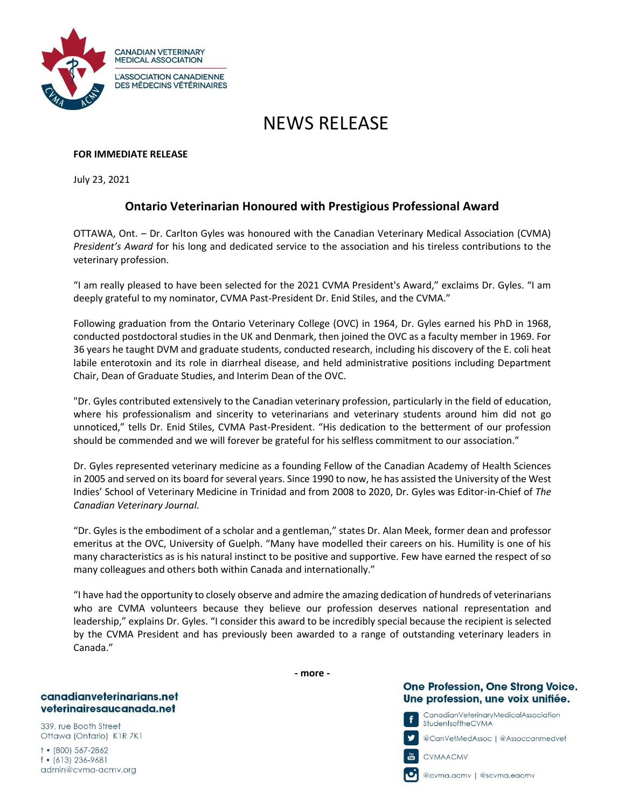

# NEWS RELEASE

### **FOR IMMEDIATE RELEASE**

July 23, 2021

# **Ontario Veterinarian Honoured with Prestigious Professional Award**

OTTAWA, Ont. – Dr. Carlton Gyles was honoured with the Canadian Veterinary Medical Association (CVMA) *President's Award* for his long and dedicated service to the association and his tireless contributions to the veterinary profession.

"I am really pleased to have been selected for the 2021 CVMA President's Award," exclaims Dr. Gyles. "I am deeply grateful to my nominator, CVMA Past-President Dr. Enid Stiles, and the CVMA."

Following graduation from the Ontario Veterinary College (OVC) in 1964, Dr. Gyles earned his PhD in 1968, conducted postdoctoral studies in the UK and Denmark, then joined the OVC as a faculty member in 1969. For 36 years he taught DVM and graduate students, conducted research, including his discovery of the E. coli heat labile enterotoxin and its role in diarrheal disease, and held administrative positions including Department Chair, Dean of Graduate Studies, and Interim Dean of the OVC.

"Dr. Gyles contributed extensively to the Canadian veterinary profession, particularly in the field of education, where his professionalism and sincerity to veterinarians and veterinary students around him did not go unnoticed," tells Dr. Enid Stiles, CVMA Past-President. "His dedication to the betterment of our profession should be commended and we will forever be grateful for his selfless commitment to our association."

Dr. Gyles represented veterinary medicine as a founding Fellow of the Canadian Academy of Health Sciences in 2005 and served on its board for several years. Since 1990 to now, he has assisted the University of the West Indies' School of Veterinary Medicine in Trinidad and from 2008 to 2020, Dr. Gyles was Editor-in-Chief of *The Canadian Veterinary Journal*.

"Dr. Gyles is the embodiment of a scholar and a gentleman," states Dr. Alan Meek, former dean and professor emeritus at the OVC, University of Guelph. "Many have modelled their careers on his. Humility is one of his many characteristics as is his natural instinct to be positive and supportive. Few have earned the respect of so many colleagues and others both within Canada and internationally."

"I have had the opportunity to closely observe and admire the amazing dedication of hundreds of veterinarians who are CVMA volunteers because they believe our profession deserves national representation and leadership," explains Dr. Gyles. "I consider this award to be incredibly special because the recipient is selected by the CVMA President and has previously been awarded to a range of outstanding veterinary leaders in Canada."

#### canadianveterinarians.net veterinairesaucanada.net

339, rue Booth Street Ottawa (Ontario) K1R 7K1

 $†•(800)567-2862$  $f$  • (613) 236-9681 admin@cvma-acmv.org **- more -**

## **One Profession, One Strong Voice.** Une profession, une voix unifiée.



@CanVełMedAssoc | @Assoccanmedveł



CVMAACMV